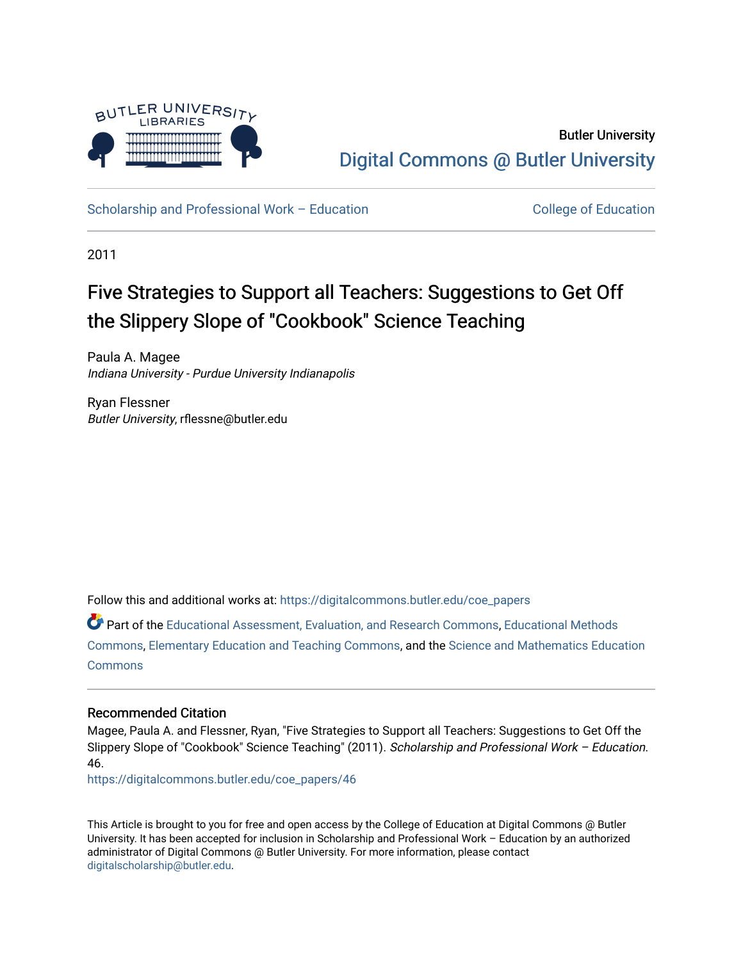

Butler University [Digital Commons @ Butler University](https://digitalcommons.butler.edu/) 

[Scholarship and Professional Work – Education](https://digitalcommons.butler.edu/coe_papers) [College of Education](https://digitalcommons.butler.edu/edu) College of Education

2011

## Five Strategies to Support all Teachers: Suggestions to Get Off the Slippery Slope of "Cookbook" Science Teaching

Paula A. Magee Indiana University - Purdue University Indianapolis

Ryan Flessner Butler University, rflessne@butler.edu

Follow this and additional works at: [https://digitalcommons.butler.edu/coe\\_papers](https://digitalcommons.butler.edu/coe_papers?utm_source=digitalcommons.butler.edu%2Fcoe_papers%2F46&utm_medium=PDF&utm_campaign=PDFCoverPages)

Part of the [Educational Assessment, Evaluation, and Research Commons](http://network.bepress.com/hgg/discipline/796?utm_source=digitalcommons.butler.edu%2Fcoe_papers%2F46&utm_medium=PDF&utm_campaign=PDFCoverPages), [Educational Methods](http://network.bepress.com/hgg/discipline/1227?utm_source=digitalcommons.butler.edu%2Fcoe_papers%2F46&utm_medium=PDF&utm_campaign=PDFCoverPages)  [Commons](http://network.bepress.com/hgg/discipline/1227?utm_source=digitalcommons.butler.edu%2Fcoe_papers%2F46&utm_medium=PDF&utm_campaign=PDFCoverPages), [Elementary Education and Teaching Commons,](http://network.bepress.com/hgg/discipline/805?utm_source=digitalcommons.butler.edu%2Fcoe_papers%2F46&utm_medium=PDF&utm_campaign=PDFCoverPages) and the [Science and Mathematics Education](http://network.bepress.com/hgg/discipline/800?utm_source=digitalcommons.butler.edu%2Fcoe_papers%2F46&utm_medium=PDF&utm_campaign=PDFCoverPages)  [Commons](http://network.bepress.com/hgg/discipline/800?utm_source=digitalcommons.butler.edu%2Fcoe_papers%2F46&utm_medium=PDF&utm_campaign=PDFCoverPages)

## Recommended Citation

Magee, Paula A. and Flessner, Ryan, "Five Strategies to Support all Teachers: Suggestions to Get Off the Slippery Slope of "Cookbook" Science Teaching" (2011). Scholarship and Professional Work – Education. 46.

[https://digitalcommons.butler.edu/coe\\_papers/46](https://digitalcommons.butler.edu/coe_papers/46?utm_source=digitalcommons.butler.edu%2Fcoe_papers%2F46&utm_medium=PDF&utm_campaign=PDFCoverPages) 

This Article is brought to you for free and open access by the College of Education at Digital Commons @ Butler University. It has been accepted for inclusion in Scholarship and Professional Work – Education by an authorized administrator of Digital Commons @ Butler University. For more information, please contact [digitalscholarship@butler.edu.](mailto:digitalscholarship@butler.edu)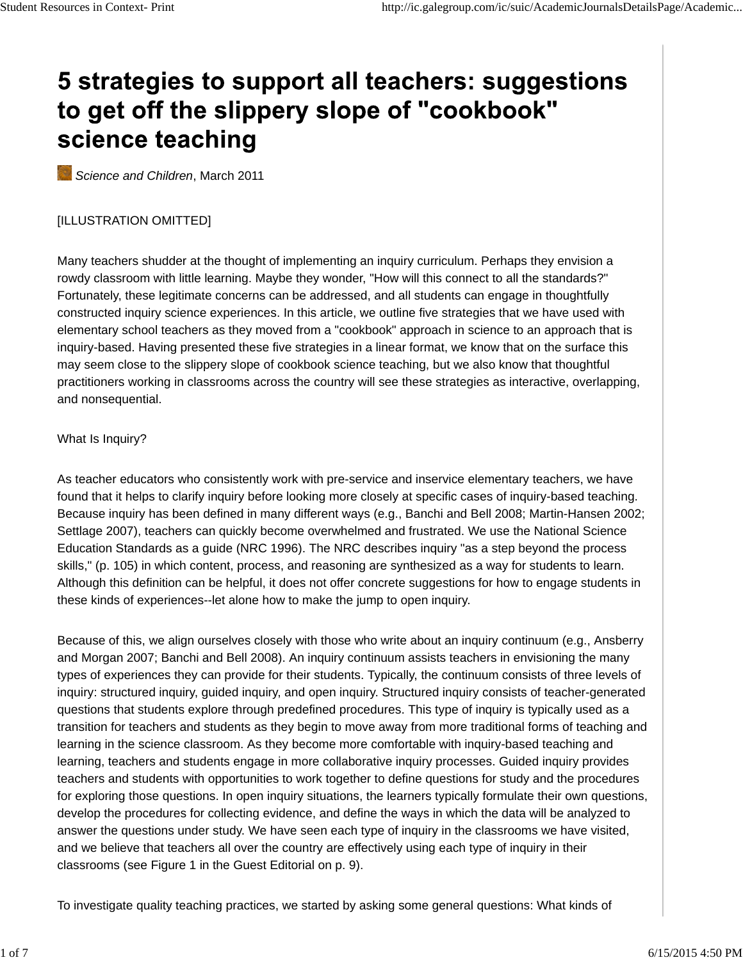# 5 strategies to support all teachers: suggestions to get off the slippery slope of "cookbook" science teaching

**Science and Children, March 2011** 

### [ILLUSTRATION OMITTED]

Many teachers shudder at the thought of implementing an inquiry curriculum. Perhaps they envision a rowdy classroom with little learning. Maybe they wonder, "How will this connect to all the standards?" Fortunately, these legitimate concerns can be addressed, and all students can engage in thoughtfully constructed inquiry science experiences. In this article, we outline five strategies that we have used with elementary school teachers as they moved from a "cookbook" approach in science to an approach that is inquiry-based. Having presented these five strategies in a linear format, we know that on the surface this may seem close to the slippery slope of cookbook science teaching, but we also know that thoughtful practitioners working in classrooms across the country will see these strategies as interactive, overlapping, and nonsequential.

#### What Is Inquiry?

As teacher educators who consistently work with pre-service and inservice elementary teachers, we have found that it helps to clarify inquiry before looking more closely at specific cases of inquiry-based teaching. Because inquiry has been defined in many different ways (e.g., Banchi and Bell 2008; Martin-Hansen 2002; Settlage 2007), teachers can quickly become overwhelmed and frustrated. We use the National Science Education Standards as a guide (NRC 1996). The NRC describes inquiry "as a step beyond the process skills," (p. 105) in which content, process, and reasoning are synthesized as a way for students to learn. Although this definition can be helpful, it does not offer concrete suggestions for how to engage students in these kinds of experiences--let alone how to make the jump to open inquiry.

Because of this, we align ourselves closely with those who write about an inquiry continuum (e.g., Ansberry and Morgan 2007; Banchi and Bell 2008). An inquiry continuum assists teachers in envisioning the many types of experiences they can provide for their students. Typically, the continuum consists of three levels of inquiry: structured inquiry, guided inquiry, and open inquiry. Structured inquiry consists of teacher-generated questions that students explore through predefined procedures. This type of inquiry is typically used as a transition for teachers and students as they begin to move away from more traditional forms of teaching and learning in the science classroom. As they become more comfortable with inquiry-based teaching and learning, teachers and students engage in more collaborative inquiry processes. Guided inquiry provides teachers and students with opportunities to work together to define questions for study and the procedures for exploring those questions. In open inquiry situations, the learners typically formulate their own questions, develop the procedures for collecting evidence, and define the ways in which the data will be analyzed to answer the questions under study. We have seen each type of inquiry in the classrooms we have visited, and we believe that teachers all over the country are effectively using each type of inquiry in their classrooms (see Figure 1 in the Guest Editorial on p. 9).

To investigate quality teaching practices, we started by asking some general questions: What kinds of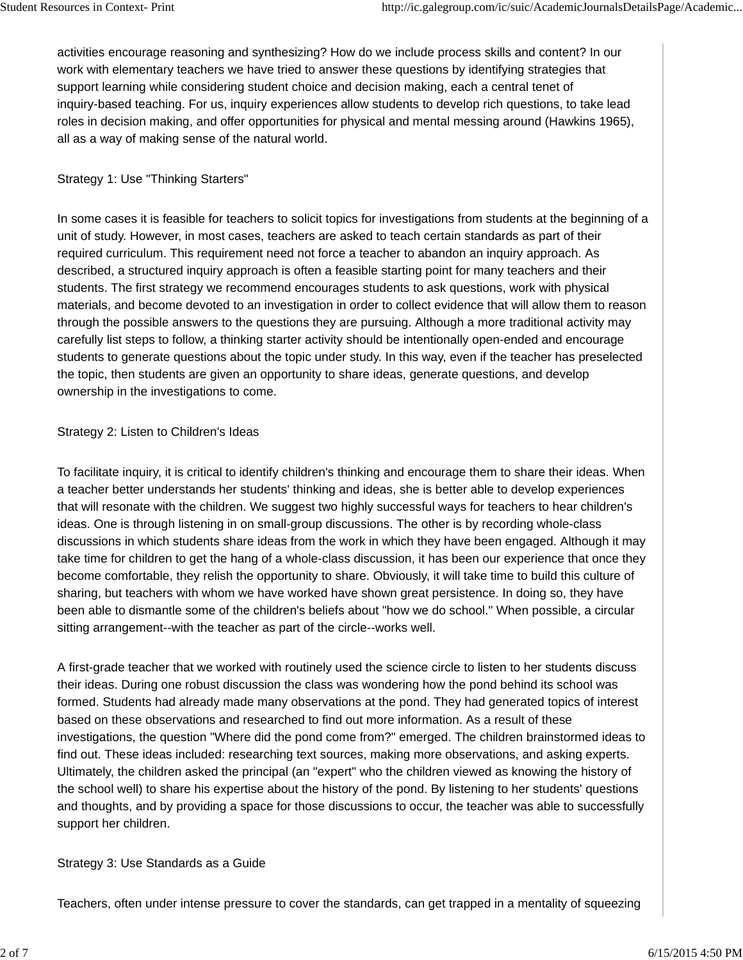activities encourage reasoning and synthesizing? How do we include process skills and content? In our work with elementary teachers we have tried to answer these questions by identifying strategies that support learning while considering student choice and decision making, each a central tenet of inquiry-based teaching. For us, inquiry experiences allow students to develop rich questions, to take lead roles in decision making, and offer opportunities for physical and mental messing around (Hawkins 1965), all as a way of making sense of the natural world.

#### Strategy 1: Use "Thinking Starters"

In some cases it is feasible for teachers to solicit topics for investigations from students at the beginning of a unit of study. However, in most cases, teachers are asked to teach certain standards as part of their required curriculum. This requirement need not force a teacher to abandon an inquiry approach. As described, a structured inquiry approach is often a feasible starting point for many teachers and their students. The first strategy we recommend encourages students to ask questions, work with physical materials, and become devoted to an investigation in order to collect evidence that will allow them to reason through the possible answers to the questions they are pursuing. Although a more traditional activity may carefully list steps to follow, a thinking starter activity should be intentionally open-ended and encourage students to generate questions about the topic under study. In this way, even if the teacher has preselected the topic, then students are given an opportunity to share ideas, generate questions, and develop ownership in the investigations to come.

#### Strategy 2: Listen to Children's Ideas

To facilitate inquiry, it is critical to identify children's thinking and encourage them to share their ideas. When a teacher better understands her students' thinking and ideas, she is better able to develop experiences that will resonate with the children. We suggest two highly successful ways for teachers to hear children's ideas. One is through listening in on small-group discussions. The other is by recording whole-class discussions in which students share ideas from the work in which they have been engaged. Although it may take time for children to get the hang of a whole-class discussion, it has been our experience that once they become comfortable, they relish the opportunity to share. Obviously, it will take time to build this culture of sharing, but teachers with whom we have worked have shown great persistence. In doing so, they have been able to dismantle some of the children's beliefs about "how we do school." When possible, a circular sitting arrangement--with the teacher as part of the circle--works well.

A first-grade teacher that we worked with routinely used the science circle to listen to her students discuss their ideas. During one robust discussion the class was wondering how the pond behind its school was formed. Students had already made many observations at the pond. They had generated topics of interest based on these observations and researched to find out more information. As a result of these investigations, the question "Where did the pond come from?" emerged. The children brainstormed ideas to find out. These ideas included: researching text sources, making more observations, and asking experts. Ultimately, the children asked the principal (an "expert" who the children viewed as knowing the history of the school well) to share his expertise about the history of the pond. By listening to her students' questions and thoughts, and by providing a space for those discussions to occur, the teacher was able to successfully support her children.

## Strategy 3: Use Standards as a Guide

Teachers, often under intense pressure to cover the standards, can get trapped in a mentality of squeezing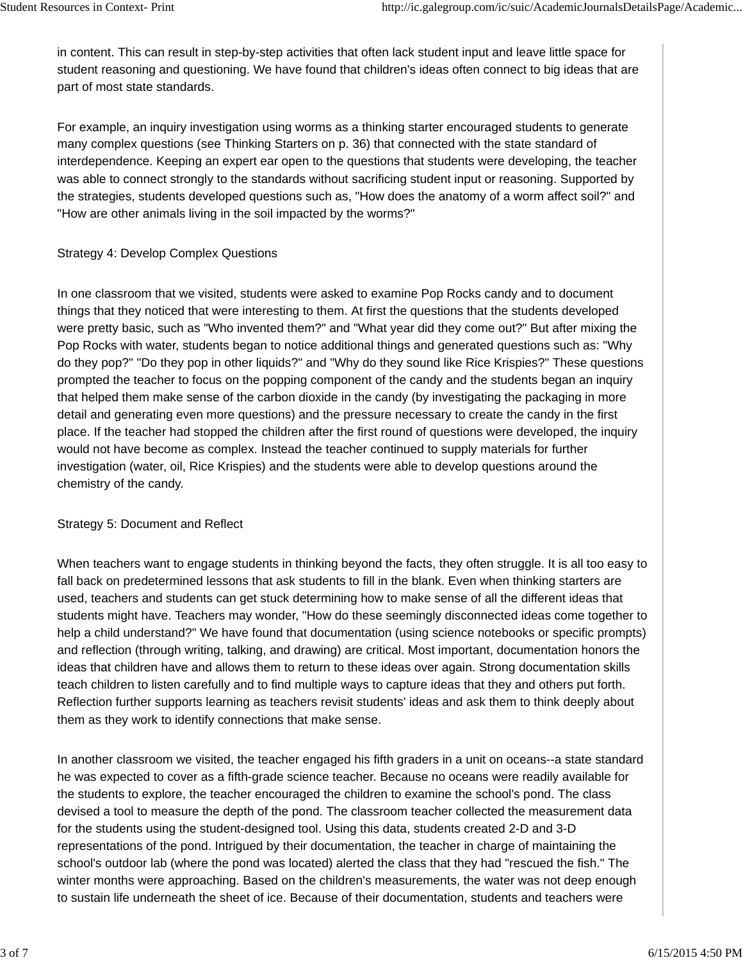in content. This can result in step-by-step activities that often lack student input and leave little space for student reasoning and questioning. We have found that children's ideas often connect to big ideas that are part of most state standards.

For example, an inquiry investigation using worms as a thinking starter encouraged students to generate many complex questions (see Thinking Starters on p. 36) that connected with the state standard of interdependence. Keeping an expert ear open to the questions that students were developing, the teacher was able to connect strongly to the standards without sacrificing student input or reasoning. Supported by the strategies, students developed questions such as, "How does the anatomy of a worm affect soil?" and "How are other animals living in the soil impacted by the worms?"

#### Strategy 4: Develop Complex Questions

In one classroom that we visited, students were asked to examine Pop Rocks candy and to document things that they noticed that were interesting to them. At first the questions that the students developed were pretty basic, such as "Who invented them?" and "What year did they come out?" But after mixing the Pop Rocks with water, students began to notice additional things and generated questions such as: "Why do they pop?" "Do they pop in other liquids?" and "Why do they sound like Rice Krispies?" These questions prompted the teacher to focus on the popping component of the candy and the students began an inquiry that helped them make sense of the carbon dioxide in the candy (by investigating the packaging in more detail and generating even more questions) and the pressure necessary to create the candy in the first place. If the teacher had stopped the children after the first round of questions were developed, the inquiry would not have become as complex. Instead the teacher continued to supply materials for further investigation (water, oil, Rice Krispies) and the students were able to develop questions around the chemistry of the candy.

## Strategy 5: Document and Reflect

When teachers want to engage students in thinking beyond the facts, they often struggle. It is all too easy to fall back on predetermined lessons that ask students to fill in the blank. Even when thinking starters are used, teachers and students can get stuck determining how to make sense of all the different ideas that students might have. Teachers may wonder, "How do these seemingly disconnected ideas come together to help a child understand?" We have found that documentation (using science notebooks or specific prompts) and reflection (through writing, talking, and drawing) are critical. Most important, documentation honors the ideas that children have and allows them to return to these ideas over again. Strong documentation skills teach children to listen carefully and to find multiple ways to capture ideas that they and others put forth. Reflection further supports learning as teachers revisit students' ideas and ask them to think deeply about them as they work to identify connections that make sense.

In another classroom we visited, the teacher engaged his fifth graders in a unit on oceans--a state standard he was expected to cover as a fifth-grade science teacher. Because no oceans were readily available for the students to explore, the teacher encouraged the children to examine the school's pond. The class devised a tool to measure the depth of the pond. The classroom teacher collected the measurement data for the students using the student-designed tool. Using this data, students created 2-D and 3-D representations of the pond. Intrigued by their documentation, the teacher in charge of maintaining the school's outdoor lab (where the pond was located) alerted the class that they had "rescued the fish." The winter months were approaching. Based on the children's measurements, the water was not deep enough to sustain life underneath the sheet of ice. Because of their documentation, students and teachers were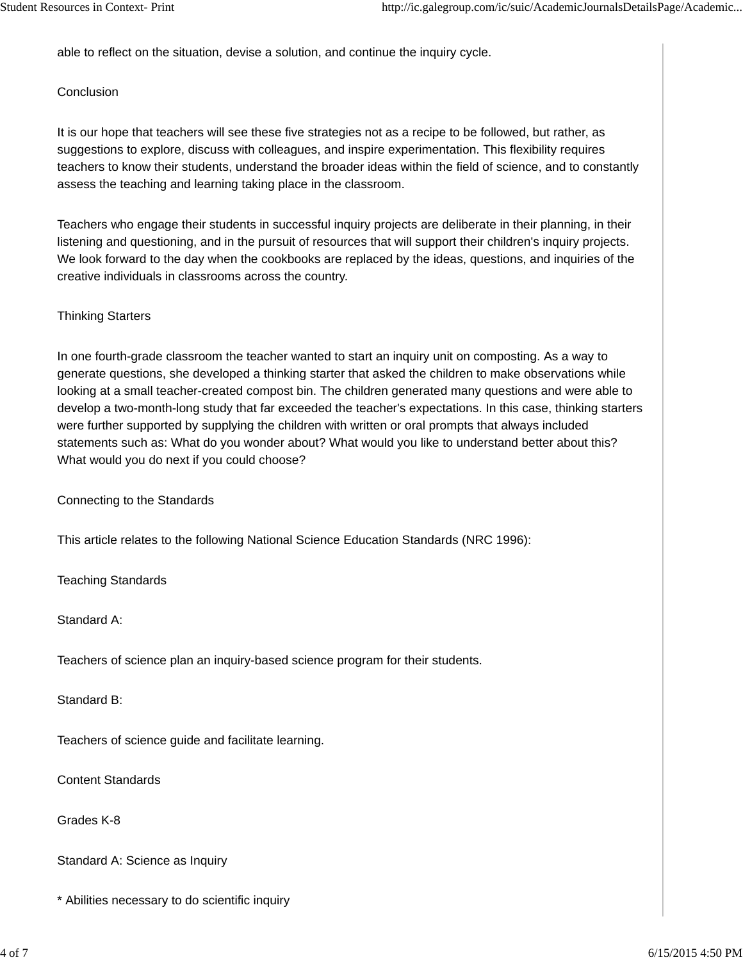able to reflect on the situation, devise a solution, and continue the inquiry cycle.

#### Conclusion

It is our hope that teachers will see these five strategies not as a recipe to be followed, but rather, as suggestions to explore, discuss with colleagues, and inspire experimentation. This flexibility requires teachers to know their students, understand the broader ideas within the field of science, and to constantly assess the teaching and learning taking place in the classroom.

Teachers who engage their students in successful inquiry projects are deliberate in their planning, in their listening and questioning, and in the pursuit of resources that will support their children's inquiry projects. We look forward to the day when the cookbooks are replaced by the ideas, questions, and inquiries of the creative individuals in classrooms across the country.

#### Thinking Starters

In one fourth-grade classroom the teacher wanted to start an inquiry unit on composting. As a way to generate questions, she developed a thinking starter that asked the children to make observations while looking at a small teacher-created compost bin. The children generated many questions and were able to develop a two-month-long study that far exceeded the teacher's expectations. In this case, thinking starters were further supported by supplying the children with written or oral prompts that always included statements such as: What do you wonder about? What would you like to understand better about this? What would you do next if you could choose?

Connecting to the Standards

This article relates to the following National Science Education Standards (NRC 1996):

Teaching Standards

Standard A:

Teachers of science plan an inquiry-based science program for their students.

Standard B:

Teachers of science guide and facilitate learning.

Content Standards

Grades K-8

Standard A: Science as Inquiry

\* Abilities necessary to do scientific inquiry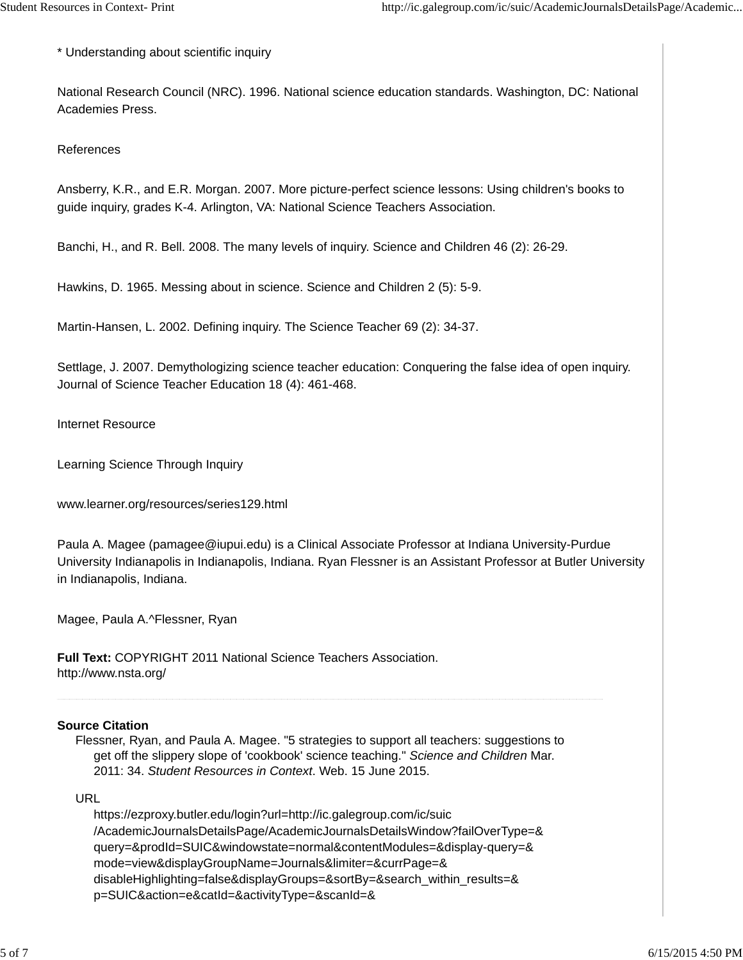\* Understanding about scientific inquiry

National Research Council (NRC). 1996. National science education standards. Washington, DC: National Academies Press.

References

Ansberry, K.R., and E.R. Morgan. 2007. More picture-perfect science lessons: Using children's books to guide inquiry, grades K-4. Arlington, VA: National Science Teachers Association.

Banchi, H., and R. Bell. 2008. The many levels of inquiry. Science and Children 46 (2): 26-29.

Hawkins, D. 1965. Messing about in science. Science and Children 2 (5): 5-9.

Martin-Hansen, L. 2002. Defining inquiry. The Science Teacher 69 (2): 34-37.

Settlage, J. 2007. Demythologizing science teacher education: Conquering the false idea of open inquiry. Journal of Science Teacher Education 18 (4): 461-468.

Internet Resource

Learning Science Through Inquiry

www.learner.org/resources/series129.html

Paula A. Magee (pamagee@iupui.edu) is a Clinical Associate Professor at Indiana University-Purdue University Indianapolis in Indianapolis, Indiana. Ryan Flessner is an Assistant Professor at Butler University in Indianapolis, Indiana.

Magee, Paula A.^Flessner, Ryan

**Full Text:** COPYRIGHT 2011 National Science Teachers Association. http://www.nsta.org/

#### **Source Citation**

Flessner, Ryan, and Paula A. Magee. "5 strategies to support all teachers: suggestions to get off the slippery slope of 'cookbook' science teaching." *Science and Children* Mar. 2011: 34. *Student Resources in Context*. Web. 15 June 2015.

URL

https://ezproxy.butler.edu/login?url=http://ic.galegroup.com/ic/suic /AcademicJournalsDetailsPage/AcademicJournalsDetailsWindow?failOverType=& query=&prodId=SUIC&windowstate=normal&contentModules=&display-query=& mode=view&displayGroupName=Journals&limiter=&currPage=& disableHighlighting=false&displayGroups=&sortBy=&search\_within\_results=& p=SUIC&action=e&catId=&activityType=&scanId=&